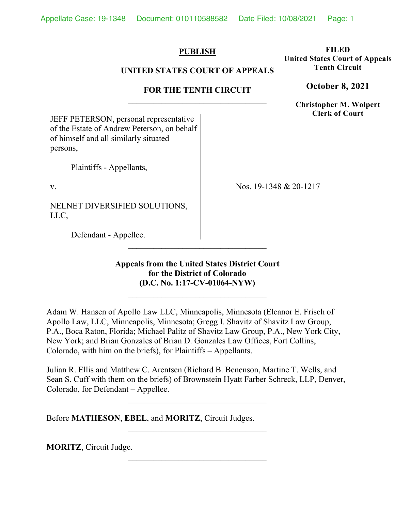## **PUBLISH**

## **UNITED STATES COURT OF APPEALS**

# **FOR THE TENTH CIRCUIT**

JEFF PETERSON, personal representative of the Estate of Andrew Peterson, on behalf of himself and all similarly situated persons,

Plaintiffs - Appellants,

v.

NELNET DIVERSIFIED SOLUTIONS, LLC,

Nos. 19-1348 & 20-1217

Defendant - Appellee.

**Appeals from the United States District Court for the District of Colorado (D.C. No. 1:17-CV-01064-NYW)**

 $\mathcal{L}_\text{max}$ 

Adam W. Hansen of Apollo Law LLC, Minneapolis, Minnesota (Eleanor E. Frisch of Apollo Law, LLC, Minneapolis, Minnesota; Gregg I. Shavitz of Shavitz Law Group, P.A., Boca Raton, Florida; Michael Palitz of Shavitz Law Group, P.A., New York City, New York; and Brian Gonzales of Brian D. Gonzales Law Offices, Fort Collins, Colorado, with him on the briefs), for Plaintiffs – Appellants.

Julian R. Ellis and Matthew C. Arentsen (Richard B. Benenson, Martine T. Wells, and Sean S. Cuff with them on the briefs) of Brownstein Hyatt Farber Schreck, LLP, Denver, Colorado, for Defendant – Appellee.

 $\mathcal{L}_\text{max}$ 

Before **MATHESON**, **EBEL**, and **MORITZ**, Circuit Judges.

**MORITZ**, Circuit Judge.

**Tenth Circuit October 8, 2021**

**FILED United States Court of Appeals** 

> **Christopher M. Wolpert Clerk of Court**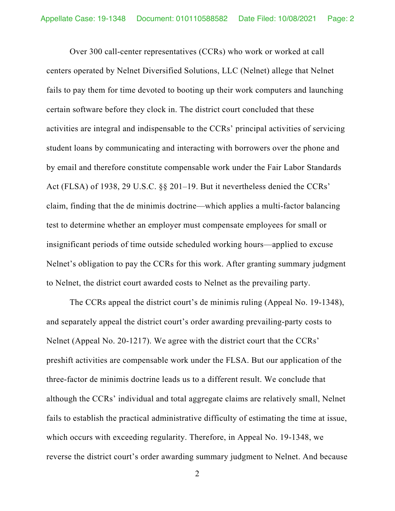Over 300 call-center representatives (CCRs) who work or worked at call centers operated by Nelnet Diversified Solutions, LLC (Nelnet) allege that Nelnet fails to pay them for time devoted to booting up their work computers and launching certain software before they clock in. The district court concluded that these activities are integral and indispensable to the CCRs' principal activities of servicing student loans by communicating and interacting with borrowers over the phone and by email and therefore constitute compensable work under the Fair Labor Standards Act (FLSA) of 1938, 29 U.S.C. §§ 201–19. But it nevertheless denied the CCRs' claim, finding that the de minimis doctrine—which applies a multi-factor balancing test to determine whether an employer must compensate employees for small or insignificant periods of time outside scheduled working hours—applied to excuse Nelnet's obligation to pay the CCRs for this work. After granting summary judgment to Nelnet, the district court awarded costs to Nelnet as the prevailing party.

The CCRs appeal the district court's de minimis ruling (Appeal No. 19-1348), and separately appeal the district court's order awarding prevailing-party costs to Nelnet (Appeal No. 20-1217). We agree with the district court that the CCRs' preshift activities are compensable work under the FLSA. But our application of the three-factor de minimis doctrine leads us to a different result. We conclude that although the CCRs' individual and total aggregate claims are relatively small, Nelnet fails to establish the practical administrative difficulty of estimating the time at issue, which occurs with exceeding regularity. Therefore, in Appeal No. 19-1348, we reverse the district court's order awarding summary judgment to Nelnet. And because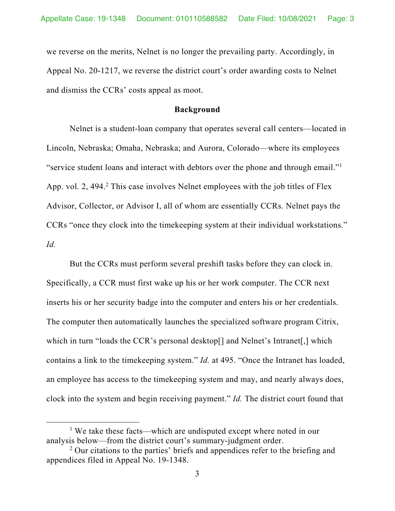we reverse on the merits, Nelnet is no longer the prevailing party. Accordingly, in Appeal No. 20-1217, we reverse the district court's order awarding costs to Nelnet and dismiss the CCRs' costs appeal as moot.

#### **Background**

Nelnet is a student-loan company that operates several call centers—located in Lincoln, Nebraska; Omaha, Nebraska; and Aurora, Colorado—where its employees "service student loans and interact with debtors over the phone and through email."1 App. vol. 2, 494.<sup>2</sup> This case involves Nelnet employees with the job titles of Flex Advisor, Collector, or Advisor I, all of whom are essentially CCRs. Nelnet pays the CCRs "once they clock into the timekeeping system at their individual workstations." *Id.*

But the CCRs must perform several preshift tasks before they can clock in. Specifically, a CCR must first wake up his or her work computer. The CCR next inserts his or her security badge into the computer and enters his or her credentials. The computer then automatically launches the specialized software program Citrix, which in turn "loads the CCR's personal desktop[] and Nelnet's Intranet[,] which contains a link to the timekeeping system." *Id.* at 495. "Once the Intranet has loaded, an employee has access to the timekeeping system and may, and nearly always does, clock into the system and begin receiving payment." *Id.* The district court found that

<sup>&</sup>lt;sup>1</sup> We take these facts—which are undisputed except where noted in our analysis below—from the district court's summary-judgment order.

<sup>&</sup>lt;sup>2</sup> Our citations to the parties' briefs and appendices refer to the briefing and appendices filed in Appeal No. 19-1348.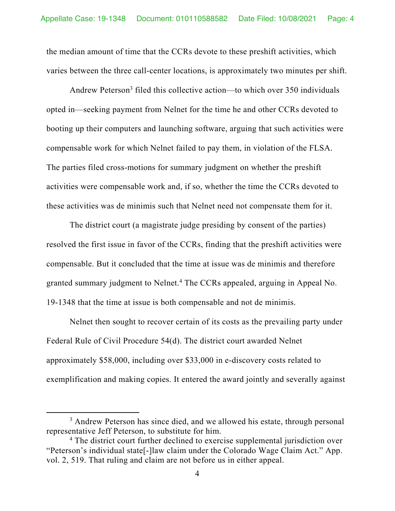the median amount of time that the CCRs devote to these preshift activities, which varies between the three call-center locations, is approximately two minutes per shift.

Andrew Peterson<sup>3</sup> filed this collective action—to which over 350 individuals opted in—seeking payment from Nelnet for the time he and other CCRs devoted to booting up their computers and launching software, arguing that such activities were compensable work for which Nelnet failed to pay them, in violation of the FLSA. The parties filed cross-motions for summary judgment on whether the preshift activities were compensable work and, if so, whether the time the CCRs devoted to these activities was de minimis such that Nelnet need not compensate them for it.

The district court (a magistrate judge presiding by consent of the parties) resolved the first issue in favor of the CCRs, finding that the preshift activities were compensable. But it concluded that the time at issue was de minimis and therefore granted summary judgment to Nelnet.<sup>4</sup> The CCRs appealed, arguing in Appeal No. 19-1348 that the time at issue is both compensable and not de minimis.

Nelnet then sought to recover certain of its costs as the prevailing party under Federal Rule of Civil Procedure 54(d). The district court awarded Nelnet approximately \$58,000, including over \$33,000 in e-discovery costs related to exemplification and making copies. It entered the award jointly and severally against

<sup>&</sup>lt;sup>3</sup> Andrew Peterson has since died, and we allowed his estate, through personal representative Jeff Peterson, to substitute for him.

<sup>&</sup>lt;sup>4</sup> The district court further declined to exercise supplemental jurisdiction over "Peterson's individual state[-]law claim under the Colorado Wage Claim Act." App. vol. 2, 519. That ruling and claim are not before us in either appeal.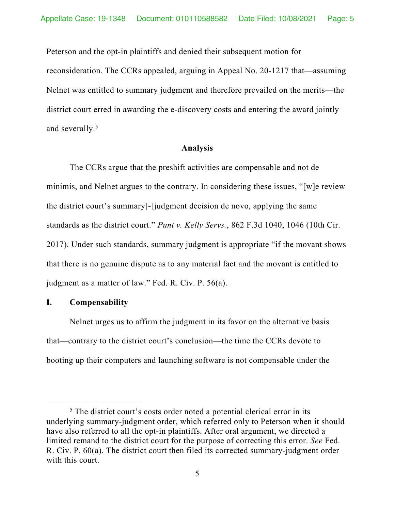Peterson and the opt-in plaintiffs and denied their subsequent motion for reconsideration. The CCRs appealed, arguing in Appeal No. 20-1217 that—assuming Nelnet was entitled to summary judgment and therefore prevailed on the merits—the district court erred in awarding the e-discovery costs and entering the award jointly and severally.<sup>5</sup>

#### **Analysis**

The CCRs argue that the preshift activities are compensable and not de minimis, and Nelnet argues to the contrary. In considering these issues, "[w]e review the district court's summary[-]judgment decision de novo, applying the same standards as the district court." *Punt v. Kelly Servs.*, 862 F.3d 1040, 1046 (10th Cir. 2017). Under such standards, summary judgment is appropriate "if the movant shows that there is no genuine dispute as to any material fact and the movant is entitled to judgment as a matter of law." Fed. R. Civ. P. 56(a).

### **I. Compensability**

Nelnet urges us to affirm the judgment in its favor on the alternative basis that—contrary to the district court's conclusion—the time the CCRs devote to booting up their computers and launching software is not compensable under the

<sup>&</sup>lt;sup>5</sup> The district court's costs order noted a potential clerical error in its underlying summary-judgment order, which referred only to Peterson when it should have also referred to all the opt-in plaintiffs. After oral argument, we directed a limited remand to the district court for the purpose of correcting this error. *See* Fed. R. Civ. P. 60(a). The district court then filed its corrected summary-judgment order with this court.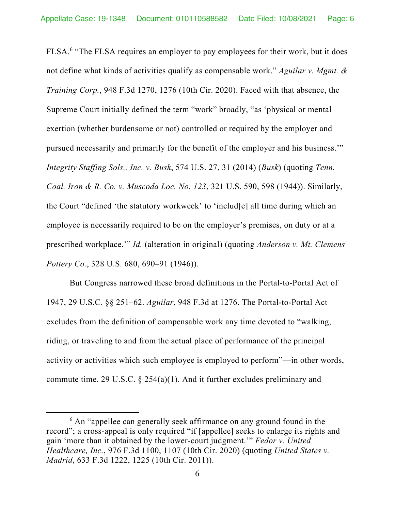FLSA.<sup>6</sup> "The FLSA requires an employer to pay employees for their work, but it does not define what kinds of activities qualify as compensable work." *Aguilar v. Mgmt. & Training Corp.*, 948 F.3d 1270, 1276 (10th Cir. 2020). Faced with that absence, the Supreme Court initially defined the term "work" broadly, "as 'physical or mental exertion (whether burdensome or not) controlled or required by the employer and pursued necessarily and primarily for the benefit of the employer and his business.'" *Integrity Staffing Sols., Inc. v. Busk*, 574 U.S. 27, 31 (2014) (*Busk*) (quoting *Tenn. Coal, Iron & R. Co. v. Muscoda Loc. No. 123*, 321 U.S. 590, 598 (1944)). Similarly, the Court "defined 'the statutory workweek' to 'includ[e] all time during which an employee is necessarily required to be on the employer's premises, on duty or at a prescribed workplace.'" *Id.* (alteration in original) (quoting *Anderson v. Mt. Clemens Pottery Co.*, 328 U.S. 680, 690–91 (1946)).

But Congress narrowed these broad definitions in the Portal-to-Portal Act of 1947, 29 U.S.C. §§ 251–62. *Aguilar*, 948 F.3d at 1276. The Portal-to-Portal Act excludes from the definition of compensable work any time devoted to "walking, riding, or traveling to and from the actual place of performance of the principal activity or activities which such employee is employed to perform"—in other words, commute time. 29 U.S.C.  $\S$  254(a)(1). And it further excludes preliminary and

<sup>&</sup>lt;sup>6</sup> An "appellee can generally seek affirmance on any ground found in the record"; a cross-appeal is only required "if [appellee] seeks to enlarge its rights and gain 'more than it obtained by the lower-court judgment.'" *Fedor v. United Healthcare, Inc.*, 976 F.3d 1100, 1107 (10th Cir. 2020) (quoting *United States v. Madrid*, 633 F.3d 1222, 1225 (10th Cir. 2011)).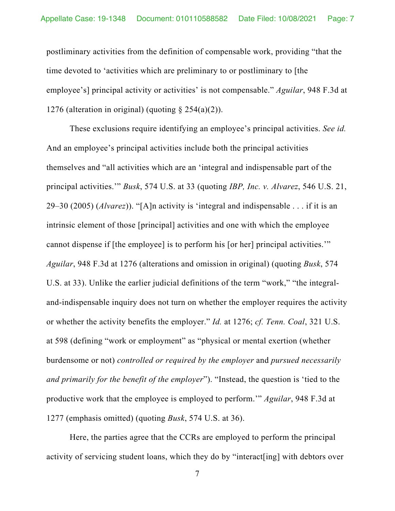postliminary activities from the definition of compensable work, providing "that the time devoted to 'activities which are preliminary to or postliminary to [the employee's] principal activity or activities' is not compensable." *Aguilar*, 948 F.3d at 1276 (alteration in original) (quoting  $\S 254(a)(2)$ ).

These exclusions require identifying an employee's principal activities. *See id.* And an employee's principal activities include both the principal activities themselves and "all activities which are an 'integral and indispensable part of the principal activities.'" *Busk*, 574 U.S. at 33 (quoting *IBP, Inc. v. Alvarez*, 546 U.S. 21, 29–30 (2005) (*Alvarez*)). "[A]n activity is 'integral and indispensable . . . if it is an intrinsic element of those [principal] activities and one with which the employee cannot dispense if [the employee] is to perform his [or her] principal activities.'" *Aguilar*, 948 F.3d at 1276 (alterations and omission in original) (quoting *Busk*, 574 U.S. at 33). Unlike the earlier judicial definitions of the term "work," "the integraland-indispensable inquiry does not turn on whether the employer requires the activity or whether the activity benefits the employer." *Id.* at 1276; *cf. Tenn. Coal*, 321 U.S. at 598 (defining "work or employment" as "physical or mental exertion (whether burdensome or not) *controlled or required by the employer* and *pursued necessarily and primarily for the benefit of the employer*"). "Instead, the question is 'tied to the productive work that the employee is employed to perform.'" *Aguilar*, 948 F.3d at 1277 (emphasis omitted) (quoting *Busk*, 574 U.S. at 36).

Here, the parties agree that the CCRs are employed to perform the principal activity of servicing student loans, which they do by "interact[ing] with debtors over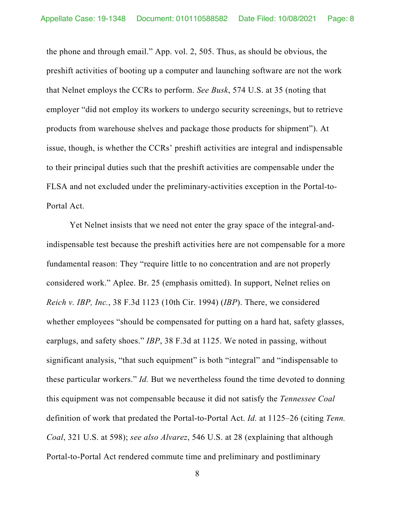the phone and through email." App. vol. 2, 505. Thus, as should be obvious, the preshift activities of booting up a computer and launching software are not the work that Nelnet employs the CCRs to perform. *See Busk*, 574 U.S. at 35 (noting that employer "did not employ its workers to undergo security screenings, but to retrieve products from warehouse shelves and package those products for shipment"). At issue, though, is whether the CCRs' preshift activities are integral and indispensable to their principal duties such that the preshift activities are compensable under the FLSA and not excluded under the preliminary-activities exception in the Portal-to-Portal Act.

Yet Nelnet insists that we need not enter the gray space of the integral-andindispensable test because the preshift activities here are not compensable for a more fundamental reason: They "require little to no concentration and are not properly considered work." Aplee. Br. 25 (emphasis omitted). In support, Nelnet relies on *Reich v. IBP, Inc.*, 38 F.3d 1123 (10th Cir. 1994) (*IBP*). There, we considered whether employees "should be compensated for putting on a hard hat, safety glasses, earplugs, and safety shoes." *IBP*, 38 F.3d at 1125. We noted in passing, without significant analysis, "that such equipment" is both "integral" and "indispensable to these particular workers." *Id.* But we nevertheless found the time devoted to donning this equipment was not compensable because it did not satisfy the *Tennessee Coal*  definition of work that predated the Portal-to-Portal Act. *Id.* at 1125–26 (citing *Tenn. Coal*, 321 U.S. at 598); *see also Alvarez*, 546 U.S. at 28 (explaining that although Portal-to-Portal Act rendered commute time and preliminary and postliminary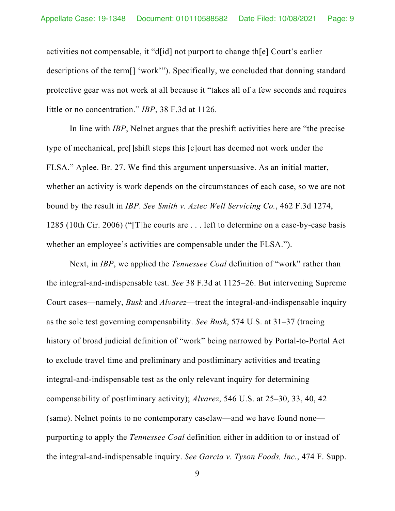activities not compensable, it "d[id] not purport to change th[e] Court's earlier descriptions of the term[] 'work'"). Specifically, we concluded that donning standard protective gear was not work at all because it "takes all of a few seconds and requires little or no concentration." *IBP*, 38 F.3d at 1126.

In line with *IBP*, Nelnet argues that the preshift activities here are "the precise type of mechanical, pre[]shift steps this [c]ourt has deemed not work under the FLSA." Aplee. Br. 27. We find this argument unpersuasive. As an initial matter, whether an activity is work depends on the circumstances of each case, so we are not bound by the result in *IBP*. *See Smith v. Aztec Well Servicing Co.*, 462 F.3d 1274, 1285 (10th Cir. 2006) ("[T]he courts are . . . left to determine on a case-by-case basis whether an employee's activities are compensable under the FLSA.").

Next, in *IBP*, we applied the *Tennessee Coal* definition of "work" rather than the integral-and-indispensable test. *See* 38 F.3d at 1125–26. But intervening Supreme Court cases—namely, *Busk* and *Alvarez*—treat the integral-and-indispensable inquiry as the sole test governing compensability. *See Busk*, 574 U.S. at 31–37 (tracing history of broad judicial definition of "work" being narrowed by Portal-to-Portal Act to exclude travel time and preliminary and postliminary activities and treating integral-and-indispensable test as the only relevant inquiry for determining compensability of postliminary activity); *Alvarez*, 546 U.S. at 25–30, 33, 40, 42 (same). Nelnet points to no contemporary caselaw—and we have found none purporting to apply the *Tennessee Coal* definition either in addition to or instead of the integral-and-indispensable inquiry. *See Garcia v. Tyson Foods, Inc.*, 474 F. Supp.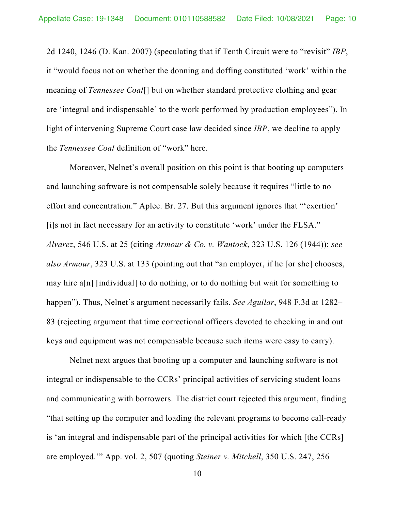2d 1240, 1246 (D. Kan. 2007) (speculating that if Tenth Circuit were to "revisit" *IBP*, it "would focus not on whether the donning and doffing constituted 'work' within the meaning of *Tennessee Coal*[] but on whether standard protective clothing and gear are 'integral and indispensable' to the work performed by production employees"). In light of intervening Supreme Court case law decided since *IBP*, we decline to apply the *Tennessee Coal* definition of "work" here.

Moreover, Nelnet's overall position on this point is that booting up computers and launching software is not compensable solely because it requires "little to no effort and concentration." Aplee. Br. 27. But this argument ignores that "'exertion' [i]s not in fact necessary for an activity to constitute 'work' under the FLSA." *Alvarez*, 546 U.S. at 25 (citing *Armour & Co. v. Wantock*, 323 U.S. 126 (1944)); *see also Armour*, 323 U.S. at 133 (pointing out that "an employer, if he [or she] chooses, may hire a[n] [individual] to do nothing, or to do nothing but wait for something to happen"). Thus, Nelnet's argument necessarily fails. *See Aguilar*, 948 F.3d at 1282– 83 (rejecting argument that time correctional officers devoted to checking in and out keys and equipment was not compensable because such items were easy to carry).

Nelnet next argues that booting up a computer and launching software is not integral or indispensable to the CCRs' principal activities of servicing student loans and communicating with borrowers. The district court rejected this argument, finding "that setting up the computer and loading the relevant programs to become call-ready is 'an integral and indispensable part of the principal activities for which [the CCRs] are employed.'" App. vol. 2, 507 (quoting *Steiner v. Mitchell*, 350 U.S. 247, 256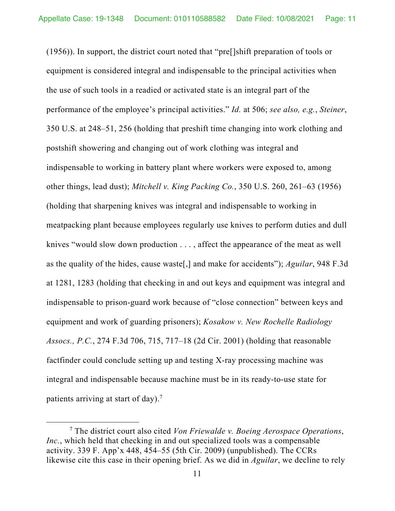(1956)). In support, the district court noted that "pre[]shift preparation of tools or equipment is considered integral and indispensable to the principal activities when the use of such tools in a readied or activated state is an integral part of the performance of the employee's principal activities." *Id.* at 506; *see also, e.g.*, *Steiner*, 350 U.S. at 248–51, 256 (holding that preshift time changing into work clothing and postshift showering and changing out of work clothing was integral and indispensable to working in battery plant where workers were exposed to, among other things, lead dust); *Mitchell v. King Packing Co.*, 350 U.S. 260, 261–63 (1956) (holding that sharpening knives was integral and indispensable to working in meatpacking plant because employees regularly use knives to perform duties and dull knives "would slow down production . . . , affect the appearance of the meat as well as the quality of the hides, cause waste[,] and make for accidents"); *Aguilar*, 948 F.3d at 1281, 1283 (holding that checking in and out keys and equipment was integral and indispensable to prison-guard work because of "close connection" between keys and equipment and work of guarding prisoners); *Kosakow v. New Rochelle Radiology Assocs., P.C.*, 274 F.3d 706, 715, 717–18 (2d Cir. 2001) (holding that reasonable factfinder could conclude setting up and testing X-ray processing machine was integral and indispensable because machine must be in its ready-to-use state for patients arriving at start of day).<sup>7</sup>

<sup>7</sup> The district court also cited *Von Friewalde v. Boeing Aerospace Operations*, *Inc.*, which held that checking in and out specialized tools was a compensable activity. 339 F. App'x 448, 454–55 (5th Cir. 2009) (unpublished). The CCRs likewise cite this case in their opening brief. As we did in *Aguilar*, we decline to rely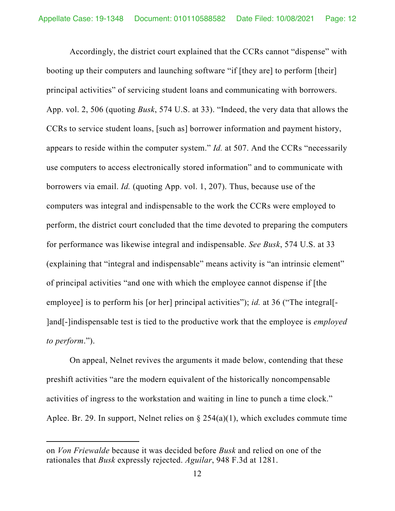Accordingly, the district court explained that the CCRs cannot "dispense" with booting up their computers and launching software "if [they are] to perform [their] principal activities" of servicing student loans and communicating with borrowers. App. vol. 2, 506 (quoting *Busk*, 574 U.S. at 33). "Indeed, the very data that allows the CCRs to service student loans, [such as] borrower information and payment history, appears to reside within the computer system." *Id.* at 507. And the CCRs "necessarily use computers to access electronically stored information" and to communicate with borrowers via email. *Id.* (quoting App. vol. 1, 207). Thus, because use of the computers was integral and indispensable to the work the CCRs were employed to perform, the district court concluded that the time devoted to preparing the computers for performance was likewise integral and indispensable. *See Busk*, 574 U.S. at 33 (explaining that "integral and indispensable" means activity is "an intrinsic element" of principal activities "and one with which the employee cannot dispense if [the employee] is to perform his [or her] principal activities"); *id.* at 36 ("The integral<sup>[-1</sup>) ]and[-]indispensable test is tied to the productive work that the employee is *employed to perform*.").

On appeal, Nelnet revives the arguments it made below, contending that these preshift activities "are the modern equivalent of the historically noncompensable activities of ingress to the workstation and waiting in line to punch a time clock." Aplee. Br. 29. In support, Nelnet relies on  $\S$  254(a)(1), which excludes commute time

on *Von Friewalde* because it was decided before *Busk* and relied on one of the rationales that *Busk* expressly rejected. *Aguilar*, 948 F.3d at 1281.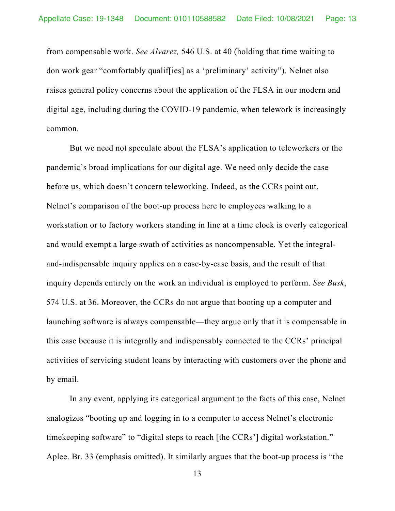from compensable work. *See Alvarez,* 546 U.S. at 40 (holding that time waiting to don work gear "comfortably qualif[ies] as a 'preliminary' activity"). Nelnet also raises general policy concerns about the application of the FLSA in our modern and digital age, including during the COVID-19 pandemic, when telework is increasingly common.

But we need not speculate about the FLSA's application to teleworkers or the pandemic's broad implications for our digital age. We need only decide the case before us, which doesn't concern teleworking. Indeed, as the CCRs point out, Nelnet's comparison of the boot-up process here to employees walking to a workstation or to factory workers standing in line at a time clock is overly categorical and would exempt a large swath of activities as noncompensable. Yet the integraland-indispensable inquiry applies on a case-by-case basis, and the result of that inquiry depends entirely on the work an individual is employed to perform. *See Busk*, 574 U.S. at 36. Moreover, the CCRs do not argue that booting up a computer and launching software is always compensable—they argue only that it is compensable in this case because it is integrally and indispensably connected to the CCRs' principal activities of servicing student loans by interacting with customers over the phone and by email.

In any event, applying its categorical argument to the facts of this case, Nelnet analogizes "booting up and logging in to a computer to access Nelnet's electronic timekeeping software" to "digital steps to reach [the CCRs'] digital workstation." Aplee. Br. 33 (emphasis omitted). It similarly argues that the boot-up process is "the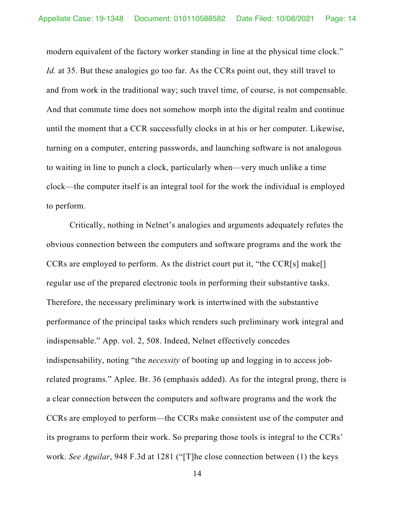modern equivalent of the factory worker standing in line at the physical time clock." *Id.* at 35. But these analogies go too far. As the CCRs point out, they still travel to and from work in the traditional way; such travel time, of course, is not compensable. And that commute time does not somehow morph into the digital realm and continue until the moment that a CCR successfully clocks in at his or her computer. Likewise, turning on a computer, entering passwords, and launching software is not analogous to waiting in line to punch a clock, particularly when—very much unlike a time clock—the computer itself is an integral tool for the work the individual is employed to perform.

Critically, nothing in Nelnet's analogies and arguments adequately refutes the obvious connection between the computers and software programs and the work the CCRs are employed to perform. As the district court put it, "the CCR[s] make[] regular use of the prepared electronic tools in performing their substantive tasks. Therefore, the necessary preliminary work is intertwined with the substantive performance of the principal tasks which renders such preliminary work integral and indispensable." App. vol. 2, 508. Indeed, Nelnet effectively concedes indispensability, noting "the *necessity* of booting up and logging in to access jobrelated programs." Aplee. Br. 36 (emphasis added). As for the integral prong, there is a clear connection between the computers and software programs and the work the CCRs are employed to perform—the CCRs make consistent use of the computer and its programs to perform their work. So preparing those tools is integral to the CCRs' work. *See Aguilar*, 948 F.3d at 1281 ("[T]he close connection between (1) the keys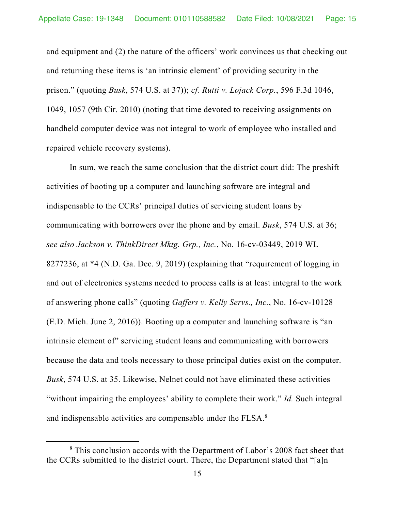and equipment and (2) the nature of the officers' work convinces us that checking out and returning these items is 'an intrinsic element' of providing security in the prison." (quoting *Busk*, 574 U.S. at 37)); *cf. Rutti v. Lojack Corp.*, 596 F.3d 1046, 1049, 1057 (9th Cir. 2010) (noting that time devoted to receiving assignments on handheld computer device was not integral to work of employee who installed and repaired vehicle recovery systems).

In sum, we reach the same conclusion that the district court did: The preshift activities of booting up a computer and launching software are integral and indispensable to the CCRs' principal duties of servicing student loans by communicating with borrowers over the phone and by email. *Busk*, 574 U.S. at 36; *see also Jackson v. ThinkDirect Mktg. Grp., Inc.*, No. 16-cv-03449, 2019 WL 8277236, at \*4 (N.D. Ga. Dec. 9, 2019) (explaining that "requirement of logging in and out of electronics systems needed to process calls is at least integral to the work of answering phone calls" (quoting *Gaffers v. Kelly Servs., Inc.*, No. 16-cv-10128 (E.D. Mich. June 2, 2016)). Booting up a computer and launching software is "an intrinsic element of" servicing student loans and communicating with borrowers because the data and tools necessary to those principal duties exist on the computer. *Busk*, 574 U.S. at 35. Likewise, Nelnet could not have eliminated these activities "without impairing the employees' ability to complete their work." *Id.* Such integral and indispensable activities are compensable under the FLSA.<sup>8</sup>

<sup>&</sup>lt;sup>8</sup> This conclusion accords with the Department of Labor's 2008 fact sheet that the CCRs submitted to the district court. There, the Department stated that "[a]n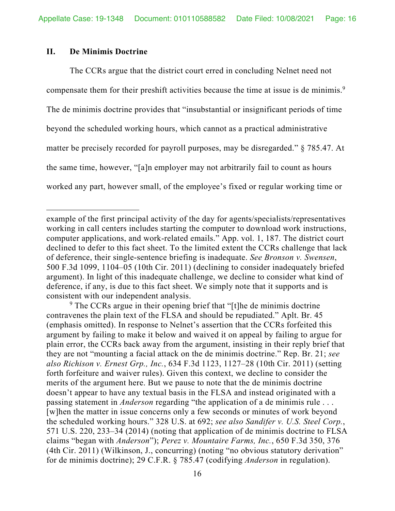## **II. De Minimis Doctrine**

The CCRs argue that the district court erred in concluding Nelnet need not compensate them for their preshift activities because the time at issue is de minimis.<sup>9</sup> The de minimis doctrine provides that "insubstantial or insignificant periods of time beyond the scheduled working hours, which cannot as a practical administrative matter be precisely recorded for payroll purposes, may be disregarded." § 785.47. At the same time, however, "[a]n employer may not arbitrarily fail to count as hours worked any part, however small, of the employee's fixed or regular working time or

<sup>9</sup> The CCRs argue in their opening brief that "[t]he de minimis doctrine contravenes the plain text of the FLSA and should be repudiated." Aplt. Br. 45 (emphasis omitted). In response to Nelnet's assertion that the CCRs forfeited this argument by failing to make it below and waived it on appeal by failing to argue for plain error, the CCRs back away from the argument, insisting in their reply brief that they are not "mounting a facial attack on the de minimis doctrine." Rep. Br. 21; *see also Richison v. Ernest Grp., Inc.*, 634 F.3d 1123, 1127–28 (10th Cir. 2011) (setting forth forfeiture and waiver rules). Given this context, we decline to consider the merits of the argument here. But we pause to note that the de minimis doctrine doesn't appear to have any textual basis in the FLSA and instead originated with a passing statement in *Anderson* regarding "the application of a de minimis rule . . . [w]hen the matter in issue concerns only a few seconds or minutes of work beyond the scheduled working hours." 328 U.S. at 692; *see also Sandifer v. U.S. Steel Corp.*, 571 U.S. 220, 233–34 (2014) (noting that application of de minimis doctrine to FLSA claims "began with *Anderson*"); *Perez v. Mountaire Farms, Inc.*, 650 F.3d 350, 376 (4th Cir. 2011) (Wilkinson, J., concurring) (noting "no obvious statutory derivation" for de minimis doctrine); 29 C.F.R. § 785.47 (codifying *Anderson* in regulation).

example of the first principal activity of the day for agents/specialists/representatives working in call centers includes starting the computer to download work instructions, computer applications, and work-related emails." App. vol. 1, 187. The district court declined to defer to this fact sheet. To the limited extent the CCRs challenge that lack of deference, their single-sentence briefing is inadequate. *See Bronson v. Swensen*, 500 F.3d 1099, 1104–05 (10th Cir. 2011) (declining to consider inadequately briefed argument). In light of this inadequate challenge, we decline to consider what kind of deference, if any, is due to this fact sheet. We simply note that it supports and is consistent with our independent analysis.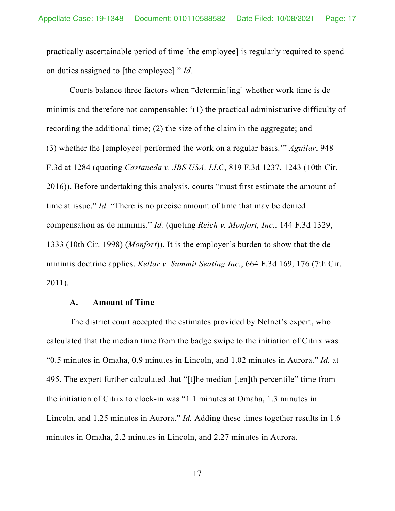practically ascertainable period of time [the employee] is regularly required to spend on duties assigned to [the employee]." *Id.*

Courts balance three factors when "determin[ing] whether work time is de minimis and therefore not compensable: '(1) the practical administrative difficulty of recording the additional time; (2) the size of the claim in the aggregate; and (3) whether the [employee] performed the work on a regular basis.'" *Aguilar*, 948 F.3d at 1284 (quoting *Castaneda v. JBS USA, LLC*, 819 F.3d 1237, 1243 (10th Cir. 2016)). Before undertaking this analysis, courts "must first estimate the amount of time at issue." *Id.* "There is no precise amount of time that may be denied compensation as de minimis." *Id.* (quoting *Reich v. Monfort, Inc.*, 144 F.3d 1329, 1333 (10th Cir. 1998) (*Monfort*)). It is the employer's burden to show that the de minimis doctrine applies. *Kellar v. Summit Seating Inc.*, 664 F.3d 169, 176 (7th Cir. 2011).

### **A. Amount of Time**

The district court accepted the estimates provided by Nelnet's expert, who calculated that the median time from the badge swipe to the initiation of Citrix was "0.5 minutes in Omaha, 0.9 minutes in Lincoln, and 1.02 minutes in Aurora." *Id.* at 495. The expert further calculated that "[t]he median [ten]th percentile" time from the initiation of Citrix to clock-in was "1.1 minutes at Omaha, 1.3 minutes in Lincoln, and 1.25 minutes in Aurora." *Id.* Adding these times together results in 1.6 minutes in Omaha, 2.2 minutes in Lincoln, and 2.27 minutes in Aurora.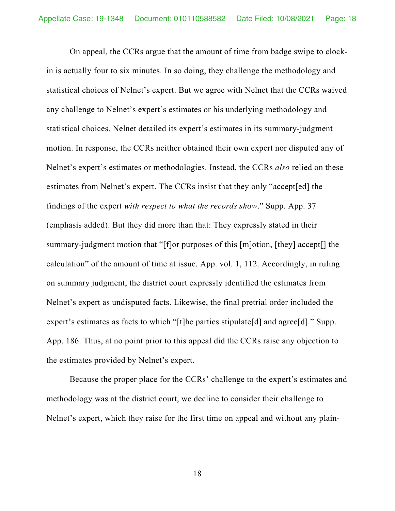On appeal, the CCRs argue that the amount of time from badge swipe to clockin is actually four to six minutes. In so doing, they challenge the methodology and statistical choices of Nelnet's expert. But we agree with Nelnet that the CCRs waived any challenge to Nelnet's expert's estimates or his underlying methodology and statistical choices. Nelnet detailed its expert's estimates in its summary-judgment motion. In response, the CCRs neither obtained their own expert nor disputed any of Nelnet's expert's estimates or methodologies. Instead, the CCRs *also* relied on these estimates from Nelnet's expert. The CCRs insist that they only "accept[ed] the findings of the expert *with respect to what the records show*." Supp. App. 37 (emphasis added). But they did more than that: They expressly stated in their summary-judgment motion that "[f]or purposes of this [m]otion, [they] accept[] the calculation" of the amount of time at issue. App. vol. 1, 112. Accordingly, in ruling on summary judgment, the district court expressly identified the estimates from Nelnet's expert as undisputed facts. Likewise, the final pretrial order included the expert's estimates as facts to which "[t]he parties stipulate[d] and agree[d]." Supp. App. 186. Thus, at no point prior to this appeal did the CCRs raise any objection to the estimates provided by Nelnet's expert.

Because the proper place for the CCRs' challenge to the expert's estimates and methodology was at the district court, we decline to consider their challenge to Nelnet's expert, which they raise for the first time on appeal and without any plain-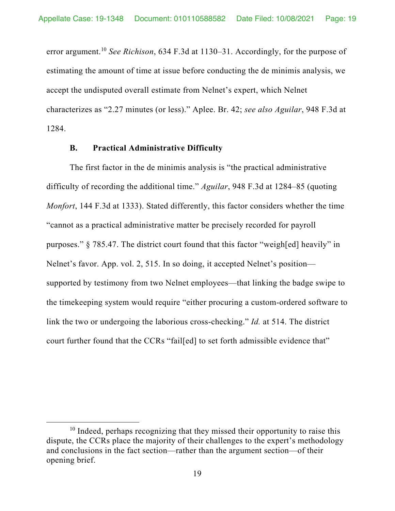error argument.10 *See Richison*, 634 F.3d at 1130–31. Accordingly, for the purpose of estimating the amount of time at issue before conducting the de minimis analysis, we accept the undisputed overall estimate from Nelnet's expert, which Nelnet characterizes as "2.27 minutes (or less)." Aplee. Br. 42; *see also Aguilar*, 948 F.3d at 1284.

## **B. Practical Administrative Difficulty**

The first factor in the de minimis analysis is "the practical administrative difficulty of recording the additional time." *Aguilar*, 948 F.3d at 1284–85 (quoting *Monfort*, 144 F.3d at 1333). Stated differently, this factor considers whether the time "cannot as a practical administrative matter be precisely recorded for payroll purposes." § 785.47. The district court found that this factor "weigh[ed] heavily" in Nelnet's favor. App. vol. 2, 515. In so doing, it accepted Nelnet's position supported by testimony from two Nelnet employees—that linking the badge swipe to the timekeeping system would require "either procuring a custom-ordered software to link the two or undergoing the laborious cross-checking." *Id.* at 514. The district court further found that the CCRs "fail[ed] to set forth admissible evidence that"

<sup>&</sup>lt;sup>10</sup> Indeed, perhaps recognizing that they missed their opportunity to raise this dispute, the CCRs place the majority of their challenges to the expert's methodology and conclusions in the fact section—rather than the argument section—of their opening brief.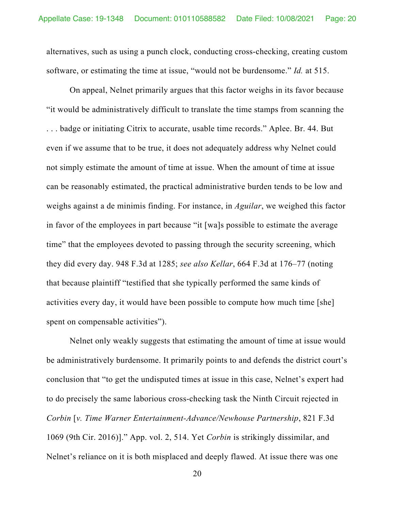alternatives, such as using a punch clock, conducting cross-checking, creating custom software, or estimating the time at issue, "would not be burdensome." *Id.* at 515.

On appeal, Nelnet primarily argues that this factor weighs in its favor because "it would be administratively difficult to translate the time stamps from scanning the . . . badge or initiating Citrix to accurate, usable time records." Aplee. Br. 44. But even if we assume that to be true, it does not adequately address why Nelnet could not simply estimate the amount of time at issue. When the amount of time at issue can be reasonably estimated, the practical administrative burden tends to be low and weighs against a de minimis finding. For instance, in *Aguilar*, we weighed this factor in favor of the employees in part because "it [wa]s possible to estimate the average time" that the employees devoted to passing through the security screening, which they did every day. 948 F.3d at 1285; *see also Kellar*, 664 F.3d at 176–77 (noting that because plaintiff "testified that she typically performed the same kinds of activities every day, it would have been possible to compute how much time [she] spent on compensable activities").

Nelnet only weakly suggests that estimating the amount of time at issue would be administratively burdensome. It primarily points to and defends the district court's conclusion that "to get the undisputed times at issue in this case, Nelnet's expert had to do precisely the same laborious cross-checking task the Ninth Circuit rejected in *Corbin* [*v. Time Warner Entertainment-Advance/Newhouse Partnership*, 821 F.3d 1069 (9th Cir. 2016)]." App. vol. 2, 514. Yet *Corbin* is strikingly dissimilar, and Nelnet's reliance on it is both misplaced and deeply flawed. At issue there was one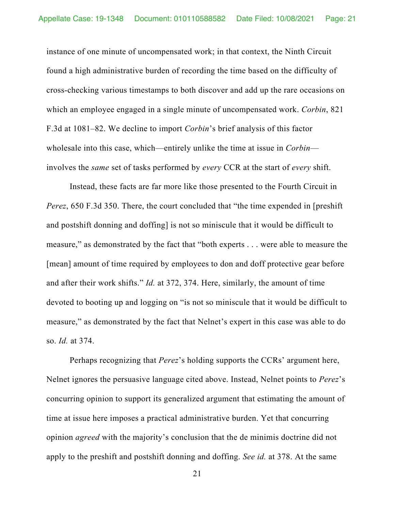instance of one minute of uncompensated work; in that context, the Ninth Circuit found a high administrative burden of recording the time based on the difficulty of cross-checking various timestamps to both discover and add up the rare occasions on which an employee engaged in a single minute of uncompensated work. *Corbin*, 821 F.3d at 1081–82. We decline to import *Corbin*'s brief analysis of this factor wholesale into this case, which—entirely unlike the time at issue in *Corbin* involves the *same* set of tasks performed by *every* CCR at the start of *every* shift.

Instead, these facts are far more like those presented to the Fourth Circuit in *Perez*, 650 F.3d 350. There, the court concluded that "the time expended in [preshift and postshift donning and doffing] is not so miniscule that it would be difficult to measure," as demonstrated by the fact that "both experts . . . were able to measure the [mean] amount of time required by employees to don and doff protective gear before and after their work shifts." *Id.* at 372, 374. Here, similarly, the amount of time devoted to booting up and logging on "is not so miniscule that it would be difficult to measure," as demonstrated by the fact that Nelnet's expert in this case was able to do so. *Id.* at 374.

Perhaps recognizing that *Perez*'s holding supports the CCRs' argument here, Nelnet ignores the persuasive language cited above. Instead, Nelnet points to *Perez*'s concurring opinion to support its generalized argument that estimating the amount of time at issue here imposes a practical administrative burden. Yet that concurring opinion *agreed* with the majority's conclusion that the de minimis doctrine did not apply to the preshift and postshift donning and doffing. *See id.* at 378. At the same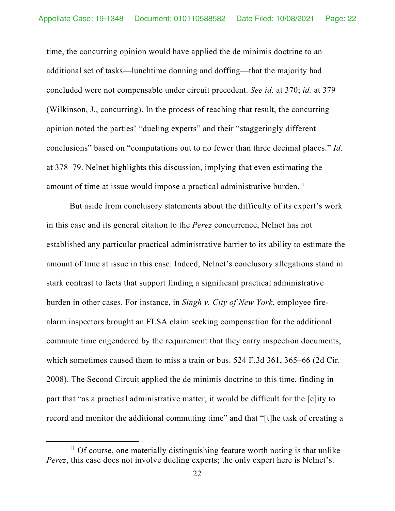time, the concurring opinion would have applied the de minimis doctrine to an additional set of tasks—lunchtime donning and doffing—that the majority had concluded were not compensable under circuit precedent. *See id.* at 370; *id.* at 379 (Wilkinson, J., concurring). In the process of reaching that result, the concurring opinion noted the parties' "dueling experts" and their "staggeringly different conclusions" based on "computations out to no fewer than three decimal places." *Id.* at 378–79. Nelnet highlights this discussion, implying that even estimating the amount of time at issue would impose a practical administrative burden.<sup>11</sup>

But aside from conclusory statements about the difficulty of its expert's work in this case and its general citation to the *Perez* concurrence, Nelnet has not established any particular practical administrative barrier to its ability to estimate the amount of time at issue in this case. Indeed, Nelnet's conclusory allegations stand in stark contrast to facts that support finding a significant practical administrative burden in other cases. For instance, in *Singh v. City of New York*, employee firealarm inspectors brought an FLSA claim seeking compensation for the additional commute time engendered by the requirement that they carry inspection documents, which sometimes caused them to miss a train or bus. 524 F.3d 361, 365–66 (2d Cir. 2008). The Second Circuit applied the de minimis doctrine to this time, finding in part that "as a practical administrative matter, it would be difficult for the [c]ity to record and monitor the additional commuting time" and that "[t]he task of creating a

 $11$  Of course, one materially distinguishing feature worth noting is that unlike *Perez*, this case does not involve dueling experts; the only expert here is Nelnet's.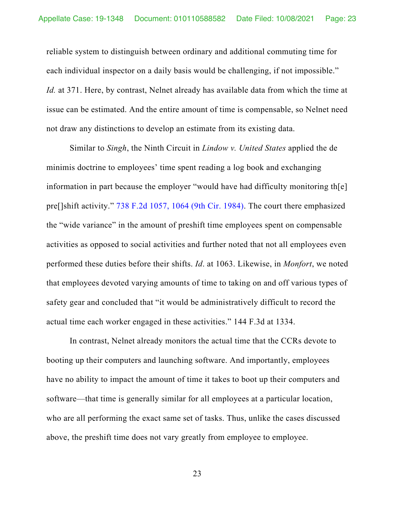reliable system to distinguish between ordinary and additional commuting time for each individual inspector on a daily basis would be challenging, if not impossible." *Id.* at 371. Here, by contrast, Nelnet already has available data from which the time at issue can be estimated. And the entire amount of time is compensable, so Nelnet need not draw any distinctions to develop an estimate from its existing data.

Similar to *Singh*, the Ninth Circuit in *Lindow v. United States* applied the de minimis doctrine to employees' time spent reading a log book and exchanging information in part because the employer "would have had difficulty monitoring th[e] pre[]shift activity." 738 F.2d 1057, 1064 (9th Cir. 1984). The court there emphasized the "wide variance" in the amount of preshift time employees spent on compensable activities as opposed to social activities and further noted that not all employees even performed these duties before their shifts. *Id*. at 1063. Likewise, in *Monfort*, we noted that employees devoted varying amounts of time to taking on and off various types of safety gear and concluded that "it would be administratively difficult to record the actual time each worker engaged in these activities." 144 F.3d at 1334.

In contrast, Nelnet already monitors the actual time that the CCRs devote to booting up their computers and launching software. And importantly, employees have no ability to impact the amount of time it takes to boot up their computers and software—that time is generally similar for all employees at a particular location, who are all performing the exact same set of tasks. Thus, unlike the cases discussed above, the preshift time does not vary greatly from employee to employee.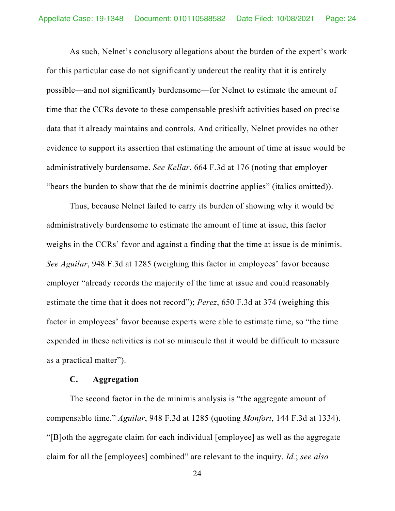As such, Nelnet's conclusory allegations about the burden of the expert's work for this particular case do not significantly undercut the reality that it is entirely possible—and not significantly burdensome—for Nelnet to estimate the amount of time that the CCRs devote to these compensable preshift activities based on precise data that it already maintains and controls. And critically, Nelnet provides no other evidence to support its assertion that estimating the amount of time at issue would be administratively burdensome. *See Kellar*, 664 F.3d at 176 (noting that employer "bears the burden to show that the de minimis doctrine applies" (italics omitted)).

Thus, because Nelnet failed to carry its burden of showing why it would be administratively burdensome to estimate the amount of time at issue, this factor weighs in the CCRs' favor and against a finding that the time at issue is de minimis. *See Aguilar*, 948 F.3d at 1285 (weighing this factor in employees' favor because employer "already records the majority of the time at issue and could reasonably estimate the time that it does not record"); *Perez*, 650 F.3d at 374 (weighing this factor in employees' favor because experts were able to estimate time, so "the time expended in these activities is not so miniscule that it would be difficult to measure as a practical matter").

### **C. Aggregation**

The second factor in the de minimis analysis is "the aggregate amount of compensable time." *Aguilar*, 948 F.3d at 1285 (quoting *Monfort*, 144 F.3d at 1334). "[B]oth the aggregate claim for each individual [employee] as well as the aggregate claim for all the [employees] combined" are relevant to the inquiry. *Id.*; *see also*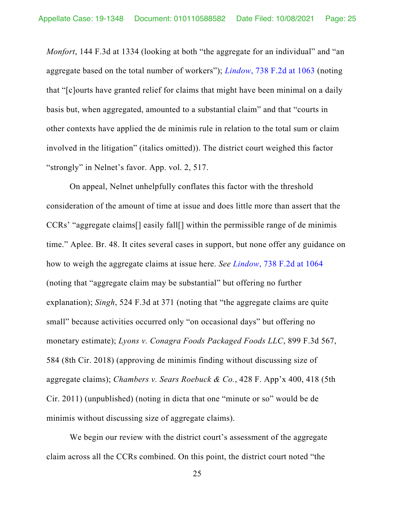*Monfort*, 144 F.3d at 1334 (looking at both "the aggregate for an individual" and "an aggregate based on the total number of workers"); *Lindow*, 738 F.2d at 1063 (noting that "[c]ourts have granted relief for claims that might have been minimal on a daily basis but, when aggregated, amounted to a substantial claim" and that "courts in other contexts have applied the de minimis rule in relation to the total sum or claim involved in the litigation" (italics omitted)). The district court weighed this factor "strongly" in Nelnet's favor. App. vol. 2, 517.

On appeal, Nelnet unhelpfully conflates this factor with the threshold consideration of the amount of time at issue and does little more than assert that the CCRs' "aggregate claims[] easily fall[] within the permissible range of de minimis time." Aplee. Br. 48. It cites several cases in support, but none offer any guidance on how to weigh the aggregate claims at issue here. *See Lindow*, 738 F.2d at 1064 (noting that "aggregate claim may be substantial" but offering no further explanation); *Singh*, 524 F.3d at 371 (noting that "the aggregate claims are quite small" because activities occurred only "on occasional days" but offering no monetary estimate); *Lyons v. Conagra Foods Packaged Foods LLC*, 899 F.3d 567, 584 (8th Cir. 2018) (approving de minimis finding without discussing size of aggregate claims); *Chambers v. Sears Roebuck & Co.*, 428 F. App'x 400, 418 (5th Cir. 2011) (unpublished) (noting in dicta that one "minute or so" would be de minimis without discussing size of aggregate claims).

We begin our review with the district court's assessment of the aggregate claim across all the CCRs combined. On this point, the district court noted "the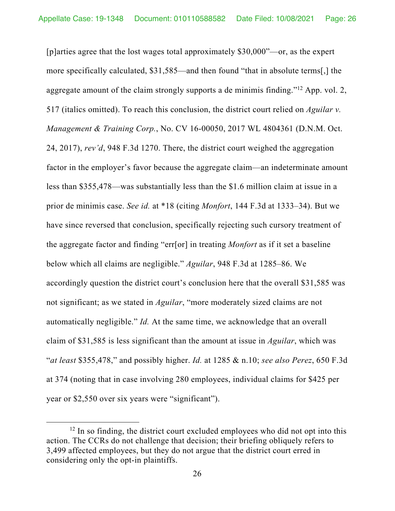[p]arties agree that the lost wages total approximately \$30,000"—or, as the expert more specifically calculated, \$31,585—and then found "that in absolute terms[,] the aggregate amount of the claim strongly supports a de minimis finding."12 App. vol. 2, 517 (italics omitted). To reach this conclusion, the district court relied on *Aguilar v. Management & Training Corp.*, No. CV 16-00050, 2017 WL 4804361 (D.N.M. Oct. 24, 2017), *rev'd*, 948 F.3d 1270. There, the district court weighed the aggregation factor in the employer's favor because the aggregate claim—an indeterminate amount less than \$355,478—was substantially less than the \$1.6 million claim at issue in a prior de minimis case. *See id.* at \*18 (citing *Monfort*, 144 F.3d at 1333–34). But we have since reversed that conclusion, specifically rejecting such cursory treatment of the aggregate factor and finding "err[or] in treating *Monfort* as if it set a baseline below which all claims are negligible." *Aguilar*, 948 F.3d at 1285–86. We accordingly question the district court's conclusion here that the overall \$31,585 was not significant; as we stated in *Aguilar*, "more moderately sized claims are not automatically negligible." *Id.* At the same time, we acknowledge that an overall claim of \$31,585 is less significant than the amount at issue in *Aguilar*, which was "*at least* \$355,478," and possibly higher. *Id.* at 1285 & n.10; *see also Perez*, 650 F.3d at 374 (noting that in case involving 280 employees, individual claims for \$425 per year or \$2,550 over six years were "significant").

 $12$  In so finding, the district court excluded employees who did not opt into this action. The CCRs do not challenge that decision; their briefing obliquely refers to 3,499 affected employees, but they do not argue that the district court erred in considering only the opt-in plaintiffs.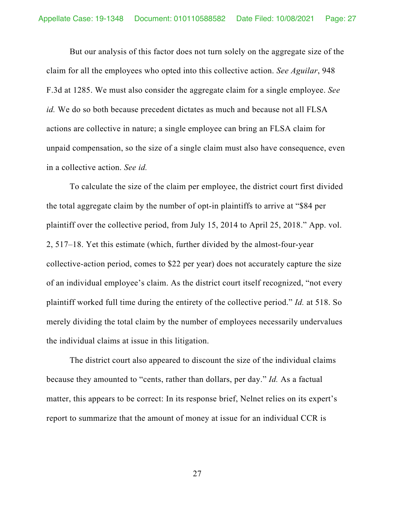But our analysis of this factor does not turn solely on the aggregate size of the claim for all the employees who opted into this collective action. *See Aguilar*, 948 F.3d at 1285. We must also consider the aggregate claim for a single employee. *See id.* We do so both because precedent dictates as much and because not all FLSA actions are collective in nature; a single employee can bring an FLSA claim for unpaid compensation, so the size of a single claim must also have consequence, even in a collective action. *See id.*

To calculate the size of the claim per employee, the district court first divided the total aggregate claim by the number of opt-in plaintiffs to arrive at "\$84 per plaintiff over the collective period, from July 15, 2014 to April 25, 2018." App. vol. 2, 517–18. Yet this estimate (which, further divided by the almost-four-year collective-action period, comes to \$22 per year) does not accurately capture the size of an individual employee's claim. As the district court itself recognized, "not every plaintiff worked full time during the entirety of the collective period." *Id.* at 518. So merely dividing the total claim by the number of employees necessarily undervalues the individual claims at issue in this litigation.

The district court also appeared to discount the size of the individual claims because they amounted to "cents, rather than dollars, per day." *Id.* As a factual matter, this appears to be correct: In its response brief, Nelnet relies on its expert's report to summarize that the amount of money at issue for an individual CCR is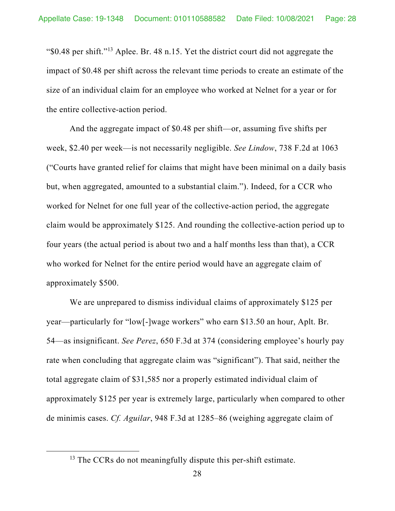"\$0.48 per shift."13 Aplee. Br. 48 n.15. Yet the district court did not aggregate the impact of \$0.48 per shift across the relevant time periods to create an estimate of the size of an individual claim for an employee who worked at Nelnet for a year or for the entire collective-action period.

And the aggregate impact of \$0.48 per shift—or, assuming five shifts per week, \$2.40 per week—is not necessarily negligible. *See Lindow*, 738 F.2d at 1063 ("Courts have granted relief for claims that might have been minimal on a daily basis but, when aggregated, amounted to a substantial claim."). Indeed, for a CCR who worked for Nelnet for one full year of the collective-action period, the aggregate claim would be approximately \$125. And rounding the collective-action period up to four years (the actual period is about two and a half months less than that), a CCR who worked for Nelnet for the entire period would have an aggregate claim of approximately \$500.

We are unprepared to dismiss individual claims of approximately \$125 per year—particularly for "low[-]wage workers" who earn \$13.50 an hour, Aplt. Br. 54—as insignificant. *See Perez*, 650 F.3d at 374 (considering employee's hourly pay rate when concluding that aggregate claim was "significant"). That said, neither the total aggregate claim of \$31,585 nor a properly estimated individual claim of approximately \$125 per year is extremely large, particularly when compared to other de minimis cases. *Cf. Aguilar*, 948 F.3d at 1285–86 (weighing aggregate claim of

<sup>&</sup>lt;sup>13</sup> The CCRs do not meaningfully dispute this per-shift estimate.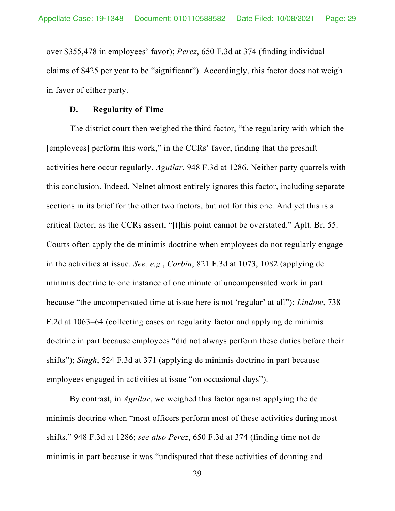over \$355,478 in employees' favor); *Perez*, 650 F.3d at 374 (finding individual claims of \$425 per year to be "significant"). Accordingly, this factor does not weigh in favor of either party.

#### **D. Regularity of Time**

The district court then weighed the third factor, "the regularity with which the [employees] perform this work," in the CCRs' favor, finding that the preshift activities here occur regularly. *Aguilar*, 948 F.3d at 1286. Neither party quarrels with this conclusion. Indeed, Nelnet almost entirely ignores this factor, including separate sections in its brief for the other two factors, but not for this one. And yet this is a critical factor; as the CCRs assert, "[t]his point cannot be overstated." Aplt. Br. 55. Courts often apply the de minimis doctrine when employees do not regularly engage in the activities at issue. *See, e.g.*, *Corbin*, 821 F.3d at 1073, 1082 (applying de minimis doctrine to one instance of one minute of uncompensated work in part because "the uncompensated time at issue here is not 'regular' at all"); *Lindow*, 738 F.2d at 1063–64 (collecting cases on regularity factor and applying de minimis doctrine in part because employees "did not always perform these duties before their shifts"); *Singh*, 524 F.3d at 371 (applying de minimis doctrine in part because employees engaged in activities at issue "on occasional days").

By contrast, in *Aguilar*, we weighed this factor against applying the de minimis doctrine when "most officers perform most of these activities during most shifts." 948 F.3d at 1286; *see also Perez*, 650 F.3d at 374 (finding time not de minimis in part because it was "undisputed that these activities of donning and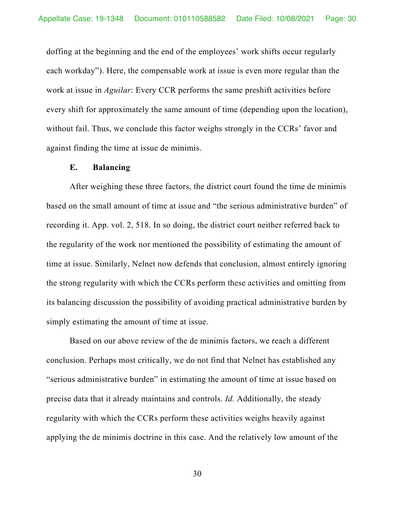doffing at the beginning and the end of the employees' work shifts occur regularly each workday"). Here, the compensable work at issue is even more regular than the work at issue in *Aguilar*: Every CCR performs the same preshift activities before every shift for approximately the same amount of time (depending upon the location), without fail. Thus, we conclude this factor weighs strongly in the CCRs' favor and against finding the time at issue de minimis.

## **E. Balancing**

After weighing these three factors, the district court found the time de minimis based on the small amount of time at issue and "the serious administrative burden" of recording it. App. vol. 2, 518. In so doing, the district court neither referred back to the regularity of the work nor mentioned the possibility of estimating the amount of time at issue. Similarly, Nelnet now defends that conclusion, almost entirely ignoring the strong regularity with which the CCRs perform these activities and omitting from its balancing discussion the possibility of avoiding practical administrative burden by simply estimating the amount of time at issue.

Based on our above review of the de minimis factors, we reach a different conclusion. Perhaps most critically, we do not find that Nelnet has established any "serious administrative burden" in estimating the amount of time at issue based on precise data that it already maintains and controls. *Id.* Additionally, the steady regularity with which the CCRs perform these activities weighs heavily against applying the de minimis doctrine in this case. And the relatively low amount of the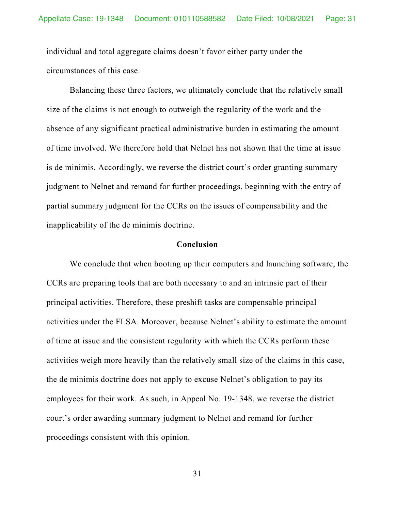individual and total aggregate claims doesn't favor either party under the circumstances of this case.

Balancing these three factors, we ultimately conclude that the relatively small size of the claims is not enough to outweigh the regularity of the work and the absence of any significant practical administrative burden in estimating the amount of time involved. We therefore hold that Nelnet has not shown that the time at issue is de minimis. Accordingly, we reverse the district court's order granting summary judgment to Nelnet and remand for further proceedings, beginning with the entry of partial summary judgment for the CCRs on the issues of compensability and the inapplicability of the de minimis doctrine.

#### **Conclusion**

We conclude that when booting up their computers and launching software, the CCRs are preparing tools that are both necessary to and an intrinsic part of their principal activities. Therefore, these preshift tasks are compensable principal activities under the FLSA. Moreover, because Nelnet's ability to estimate the amount of time at issue and the consistent regularity with which the CCRs perform these activities weigh more heavily than the relatively small size of the claims in this case, the de minimis doctrine does not apply to excuse Nelnet's obligation to pay its employees for their work. As such, in Appeal No. 19-1348, we reverse the district court's order awarding summary judgment to Nelnet and remand for further proceedings consistent with this opinion.